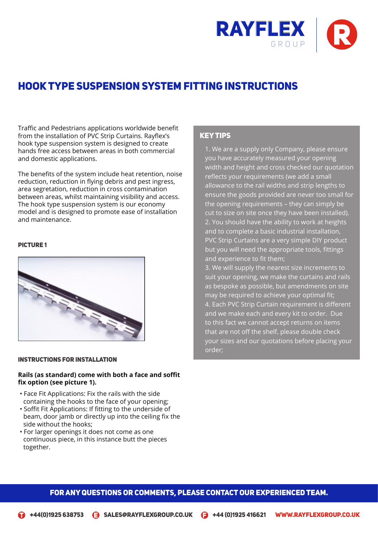

# Hook Type Suspension System Fitting InstructionS

Traffic and Pedestrians applications worldwide benefit from the installation of PVC Strip Curtains. Rayflex's hook type suspension system is designed to create hands free access between areas in both commercial and domestic applications.

The benefits of the system include heat retention, noise reduction, reduction in flying debris and pest ingress, area segretation, reduction in cross contamination between areas, whilst maintaining visibility and access. The hook type suspension system is our economy model and is designed to promote ease of installation and maintenance.

## **PICTURE 1**



#### Instructions For Installation

## **Rails (as standard) come with both a face and soffit fix option (see picture 1).**

- Face Fit Applications: Fix the rails with the side containing the hooks to the face of your opening;
- Soffit Fit Applications: If fitting to the underside of beam, door jamb or directly up into the ceiling fix the side without the hooks;
- For larger openings it does not come as one continuous piece, in this instance butt the pieces together.

## Key Tips

1. We are a supply only Company, please ensure you have accurately measured your opening width and height and cross checked our quotation reflects your requirements (we add a small allowance to the rail widths and strip lengths to ensure the goods provided are never too small for the opening requirements – they can simply be cut to size on site once they have been installed). 2. You should have the ability to work at heights and to complete a basic industrial installation, PVC Strip Curtains are a very simple DIY product but you will need the appropriate tools, fittings and experience to fit them;

3. We will supply the nearest size increments to suit your opening, we make the curtains and rails as bespoke as possible, but amendments on site may be required to achieve your optimal fit; 4. Each PVC Strip Curtain requirement is different and we make each and every kit to order. Due to this fact we cannot accept returns on items that are not off the shelf, please double check your sizes and our quotations before placing your order;

# FOR ANY QUESTIONS OR COMMENTS, PLEASE CONTACT OUR EXPERIENCED TEAM.